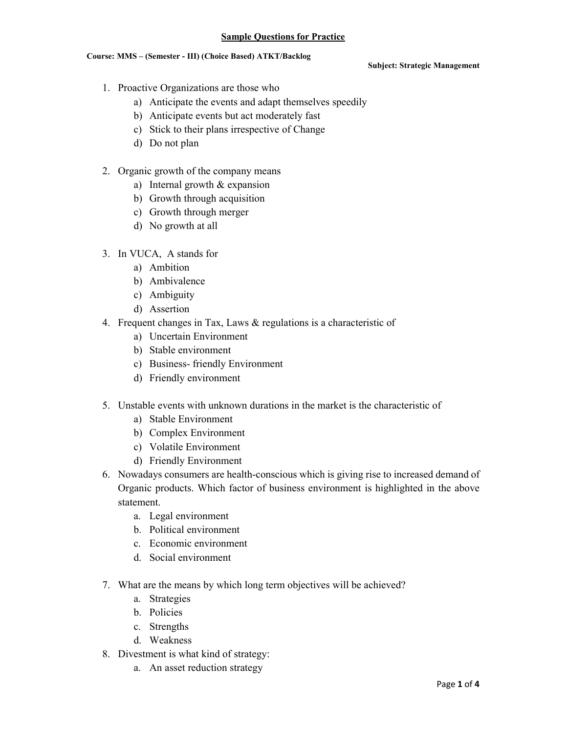# **Sample Questions for Practice**

### Course: MMS - (Semester - III) (Choice Based) ATKT/Backlog

### **Subject: Strategic Management**

- 1. Proactive Organizations are those who
	- a) Anticipate the events and adapt themselves speedily
	- b) Anticipate events but act moderately fast
	- c) Stick to their plans irrespective of Change
	- d) Do not plan
- 2. Organic growth of the company means
	- a) Internal growth  $&$  expansion
	- b) Growth through acquisition
	- c) Growth through merger
	- d) No growth at all
- 3. In VUCA, A stands for
	- a) Ambition
	- b) Ambivalence
	- c) Ambiguity
	- d) Assertion
- 4. Frequent changes in Tax, Laws  $&$  regulations is a characteristic of
	- a) Uncertain Environment
	- b) Stable environment
	- c) Business-friendly Environment
	- d) Friendly environment
- 5. Unstable events with unknown durations in the market is the characteristic of
	- a) Stable Environment
	- b) Complex Environment
	- c) Volatile Environment
	- d) Friendly Environment
- 6. Nowadays consumers are health-conscious which is giving rise to increased demand of Organic products. Which factor of business environment is highlighted in the above statement.
	- a. Legal environment
	- b. Political environment
	- c Economic environment
	- d Social environment
- 7. What are the means by which long term objectives will be achieved?
	- a. Strategies
	- b. Policies
	- c. Strengths
	- d. Weakness
- 8. Divestment is what kind of strategy:
	- a. An asset reduction strategy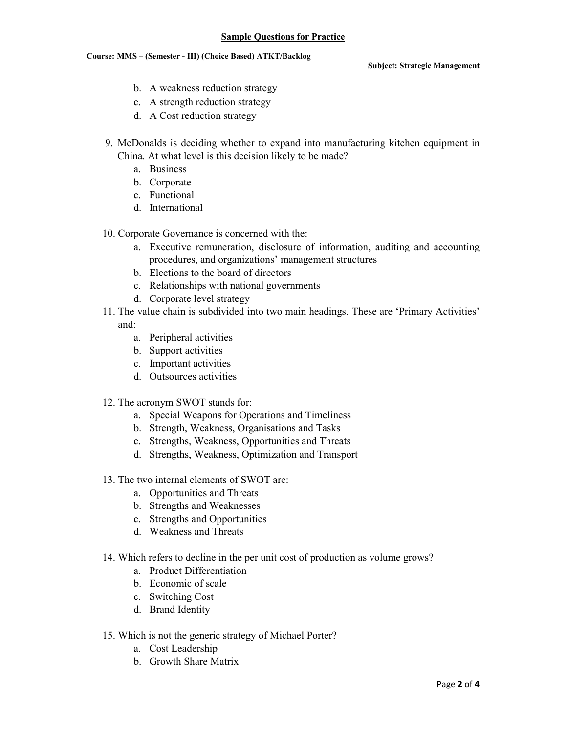# **Sample Questions for Practice**

#### Course: MMS - (Semester - III) (Choice Based) ATKT/Backlog

**Subject: Strategic Management** 

- b. A weakness reduction strategy
- c. A strength reduction strategy
- d. A Cost reduction strategy
- 9. McDonalds is deciding whether to expand into manufacturing kitchen equipment in China. At what level is this decision likely to be made?
	- a. Business
	- b. Corporate
	- c. Functional
	- d. International
- 10. Corporate Governance is concerned with the:
	- a. Executive remuneration, disclosure of information, auditing and accounting procedures, and organizations' management structures
	- b. Elections to the board of directors
	- c. Relationships with national governments
	- d. Corporate level strategy
- 11. The value chain is subdivided into two main headings. These are 'Primary Activities' and:
	- a. Peripheral activities
	- b. Support activities
	- c. Important activities
	- d. Outsources activities
- 12. The acronym SWOT stands for:
	- a. Special Weapons for Operations and Timeliness
	- b. Strength, Weakness, Organisations and Tasks
	- c. Strengths, Weakness, Opportunities and Threats
	- d. Strengths, Weakness, Optimization and Transport
- 13. The two internal elements of SWOT are:
	- a. Opportunities and Threats
	- b. Strengths and Weaknesses
	- c. Strengths and Opportunities
	- d. Weakness and Threats
- 14. Which refers to decline in the per unit cost of production as volume grows?
	- a. Product Differentiation
	- b. Economic of scale
	- c. Switching Cost
	- d. Brand Identity
- 15. Which is not the generic strategy of Michael Porter?
	- a. Cost Leadership
	- **b** Growth Share Matrix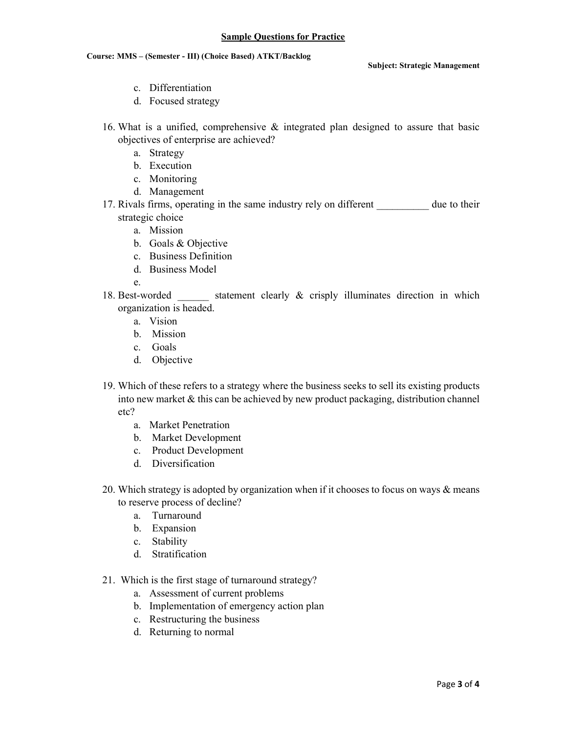# Course: MMS - (Semester - III) (Choice Based) ATKT/Backlog

**Subject: Strategic Management** 

- c. Differentiation
- d. Focused strategy
- 16. What is a unified, comprehensive  $\&$  integrated plan designed to assure that basic objectives of enterprise are achieved?
	- a. Strategy
	- b. Execution
	- c. Monitoring
	- d. Management
- 17. Rivals firms, operating in the same industry rely on different due to their strategic choice
	- a. Mission
	- b. Goals & Objective
	- c. Business Definition
	- d. Business Model

 $e$ 

- 18. Best-worded statement clearly & crisply illuminates direction in which organization is headed.
	- a. Vision
	- b. Mission
	- c. Goals
	- d. Objective
- 19. Which of these refers to a strategy where the business seeks to sell its existing products into new market  $\&$  this can be achieved by new product packaging, distribution channel  $etc?$ 
	- a. Market Penetration
	- b. Market Development
	- c. Product Development
	- d. Diversification
- 20. Which strategy is adopted by organization when if it chooses to focus on ways & means to reserve process of decline?
	- a. Turnaround
	- b. Expansion
	- c. Stability
	- d. Stratification
- 21. Which is the first stage of turnaround strategy?
	- a. Assessment of current problems
	- b. Implementation of emergency action plan
	- c. Restructuring the business
	- d. Returning to normal